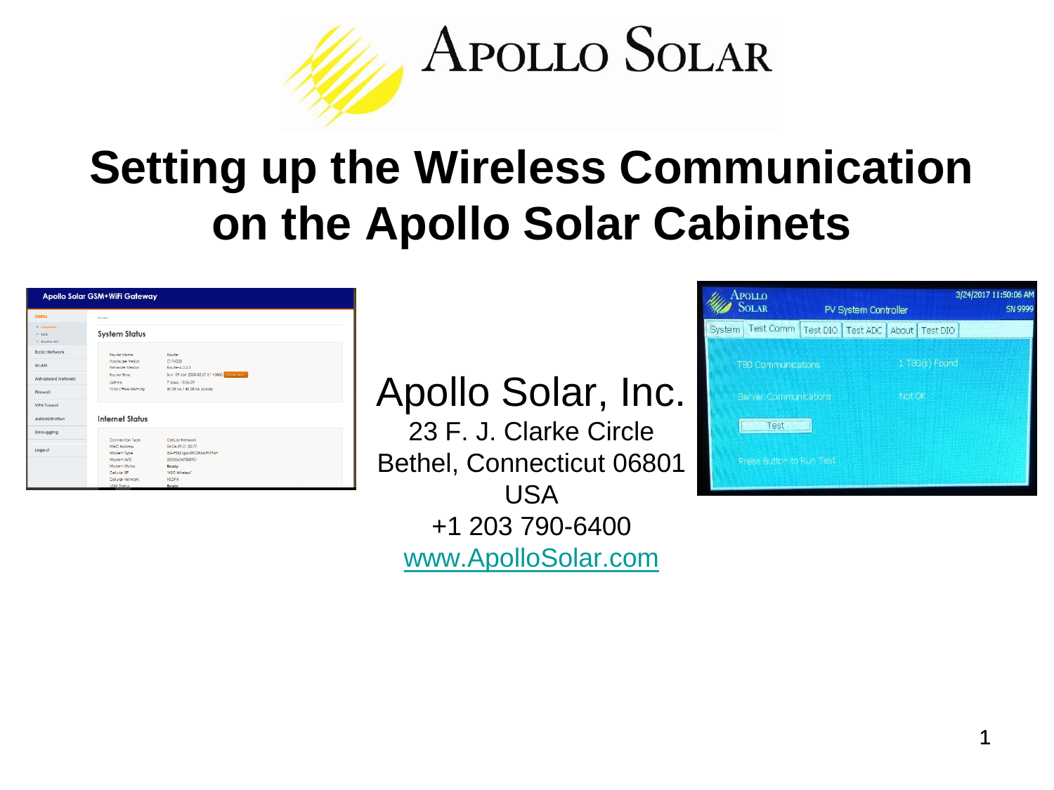

# **Setting up the Wireless Communication on the Apollo Solar Cabinets**

|                                        | Apollo Solar GSM+WiFi Gateway        |                                                                 |
|----------------------------------------|--------------------------------------|-----------------------------------------------------------------|
| Status                                 | Rosder                               |                                                                 |
| * Overview<br>$+ 1AB$<br>· Device list | <b>System Status</b>                 |                                                                 |
| Basic Network                          | <b>Router Nome</b>                   | Router                                                          |
| WLAN                                   | Hostiwaye Verica<br>Firmware Version | $C11-020$<br>Router-4.2.2.3                                     |
| <b>Advanced Network</b>                | Router Time<br>Uplime                | Sun, 09 Jan 2000 03:57:31 +0800 Casse type.<br>7 days, 18:56:39 |
| Firewall                               | Total / Free Memory                  | 60.08 MB / 49.28 MB (62.02%)                                    |
| <b>VPN Tunnel</b>                      |                                      |                                                                 |
| Administration                         | <b>Internet Status</b>               |                                                                 |
| Debugging                              |                                      |                                                                 |
|                                        | Connection Type<br>MAC Artifices     | Cellular Network                                                |
| Logout                                 | Modern Type                          | 34:0A:69:01:20:77<br>3G-F5521gw:WCDMA/HSPA+                     |
|                                        | Modem IME                            | 352056047088931                                                 |
|                                        | Modern Stoka                         | Ready                                                           |
|                                        | Celular SP                           | "H2O Wireless"                                                  |
|                                        | Celular Network                      | <b>HSDPA</b>                                                    |
|                                        | <b>USIM Status</b>                   | Ready                                                           |

Apollo Solar, Inc.

23 F. J. Clarke Circle Bethel, Connecticut 06801 USA +1 203 790-6400 [www.ApolloSolar.com](http://www.apollosolar.com/)

|        | <b>APOLLO</b><br><b>SOLAR</b> | PV System Controller |        |                  | 3/24/2017 11:50:06 AM<br><b>SN 9999</b> |
|--------|-------------------------------|----------------------|--------|------------------|-----------------------------------------|
| System | Test Comm                     | Test DIO   Test ADC  |        | About   Test DIO |                                         |
|        | T80 Communications            |                      |        | 1 T80(s) Found   |                                         |
|        | Server Communications         |                      | Not OK |                  |                                         |
|        | est                           |                      |        |                  |                                         |
|        | Press Button to Run Test      |                      |        |                  |                                         |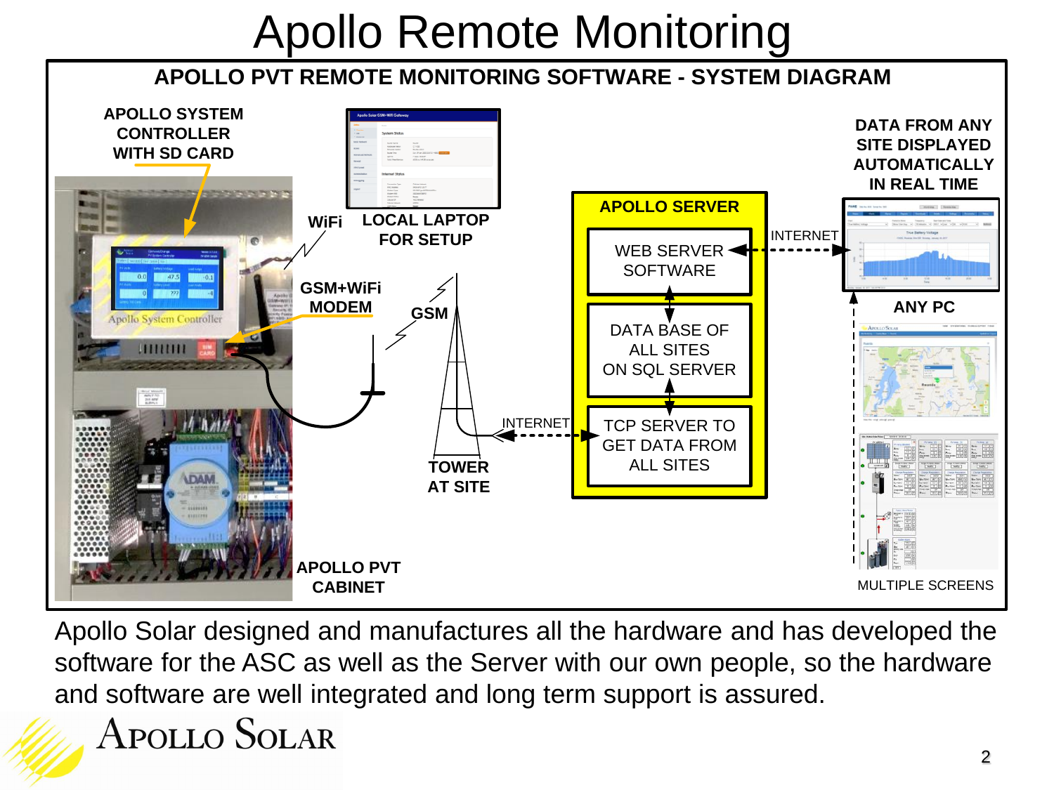# Apollo Remote Monitoring

#### **APOLLO PVT REMOTE MONITORING SOFTWARE - SYSTEM DIAGRAM**



Apollo Solar designed and manufactures all the hardware and has developed the software for the ASC as well as the Server with our own people, so the hardware and software are well integrated and long term support is assured.

Apollo Solar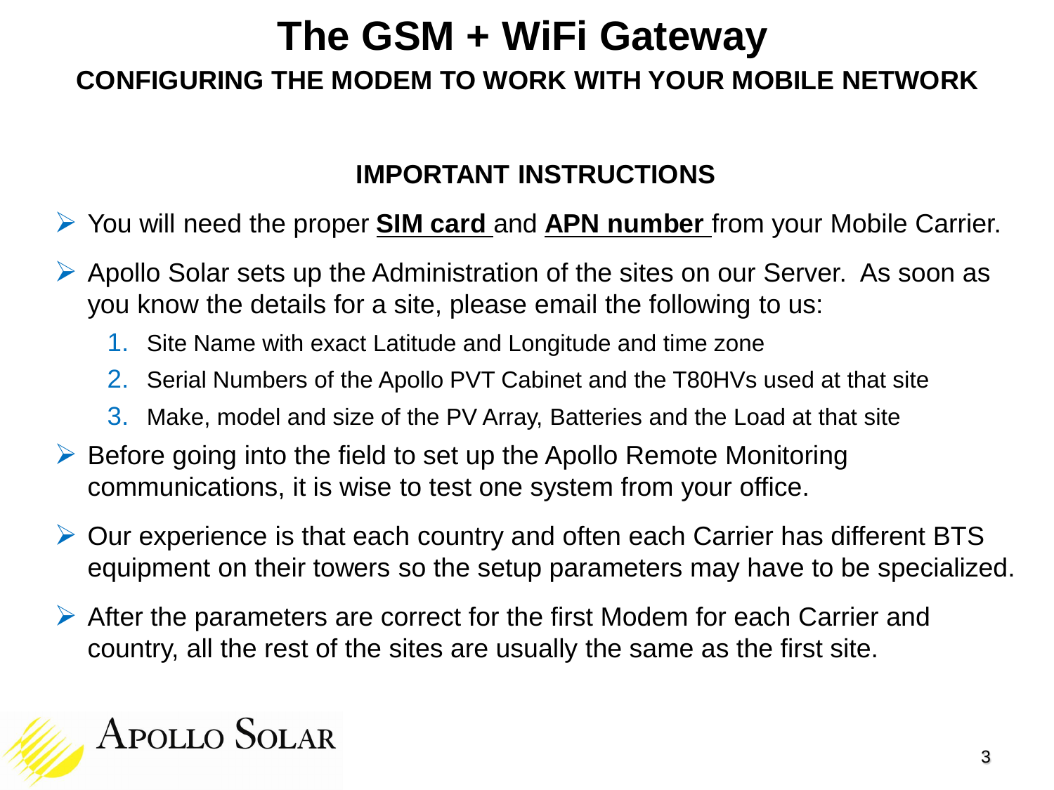### **The GSM + WiFi Gateway CONFIGURING THE MODEM TO WORK WITH YOUR MOBILE NETWORK**

#### **IMPORTANT INSTRUCTIONS**

#### You will need the proper **SIM card** and **APN number** from your Mobile Carrier.

- Apollo Solar sets up the Administration of the sites on our Server. As soon as you know the details for a site, please email the following to us:
	- 1. Site Name with exact Latitude and Longitude and time zone
	- 2. Serial Numbers of the Apollo PVT Cabinet and the T80HVs used at that site
	- 3. Make, model and size of the PV Array, Batteries and the Load at that site
- $\triangleright$  Before going into the field to set up the Apollo Remote Monitoring communications, it is wise to test one system from your office.
- Our experience is that each country and often each Carrier has different BTS equipment on their towers so the setup parameters may have to be specialized.
- After the parameters are correct for the first Modem for each Carrier and country, all the rest of the sites are usually the same as the first site.

# **APOLLO SOLAR**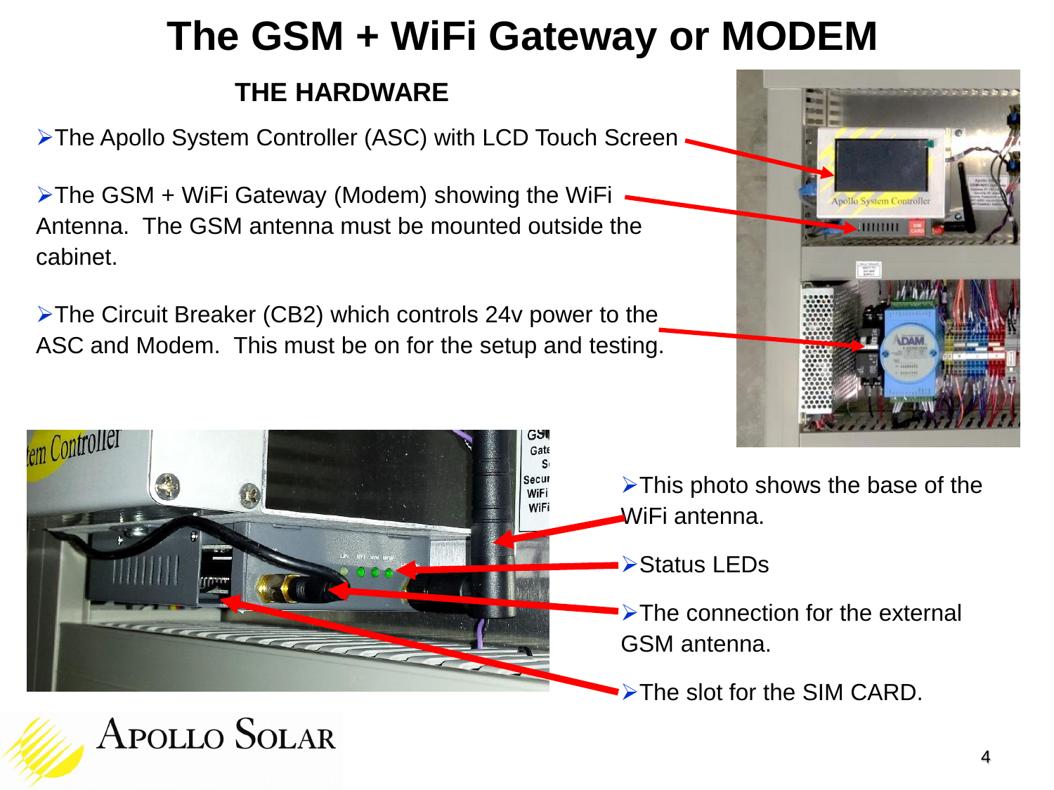## **The GSM + WiFi Gateway or MODEM**

#### **THE HARDWARE**

> The Apollo System Controller (ASC) with LCD Touch Screen •

 $\triangleright$ The GSM + WiFi Gateway (Modem) showing the WiFi Antenna. The GSM antenna must be mounted outside the cabinet.

The Circuit Breaker (CB2) which controls 24v power to the ASC and Modem. This must be on for the setup and testing.



**APOLLO SOLAR** 



- $\triangleright$ This photo shows the base of the WiFi antenna.
- ▶ Status LEDs
- $\blacktriangleright$ The connection for the external GSM antenna.

 $\blacktriangleright$ The slot for the SIM CARD.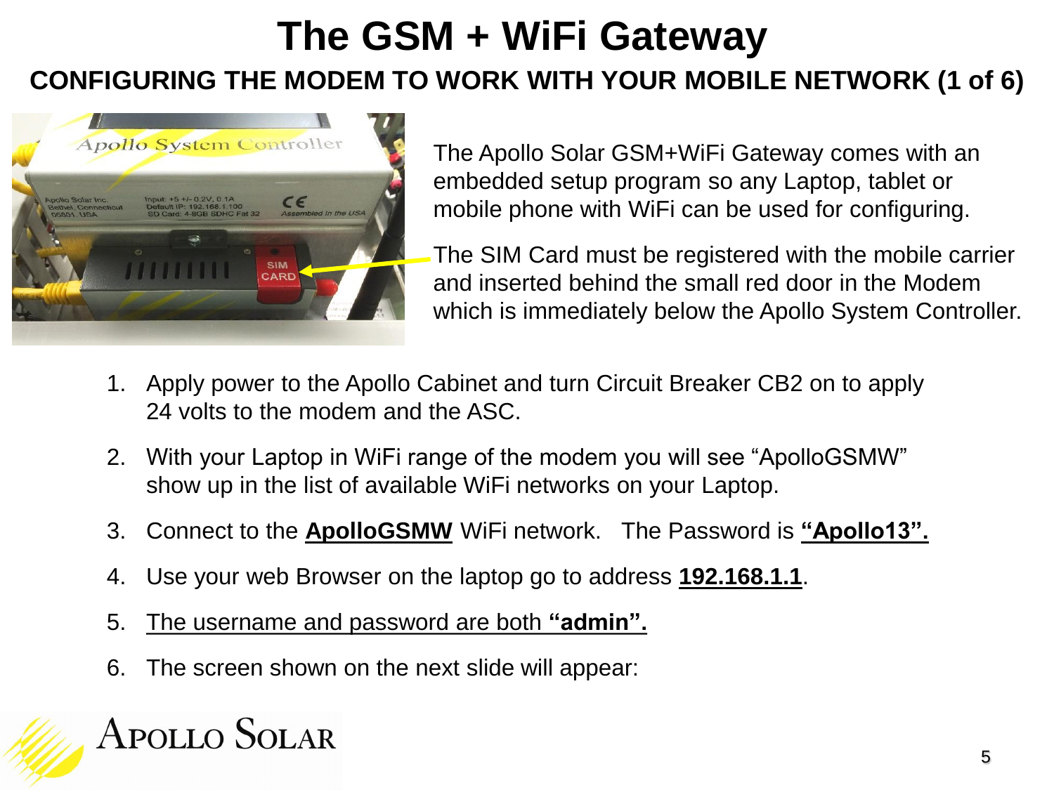### **The GSM + WiFi Gateway CONFIGURING THE MODEM TO WORK WITH YOUR MOBILE NETWORK (1 of 6)**



The Apollo Solar GSM+WiFi Gateway comes with an embedded setup program so any Laptop, tablet or mobile phone with WiFi can be used for configuring.

The SIM Card must be registered with the mobile carrier and inserted behind the small red door in the Modem which is immediately below the Apollo System Controller.

- 1. Apply power to the Apollo Cabinet and turn Circuit Breaker CB2 on to apply 24 volts to the modem and the ASC.
- 2. With your Laptop in WiFi range of the modem you will see "ApolloGSMW" show up in the list of available WiFi networks on your Laptop.
- 3. Connect to the **ApolloGSMW** WiFi network. The Password is **"Apollo13".**
- 4. Use your web Browser on the laptop go to address **192.168.1.1**.
- 5. The username and password are both **"admin".**
- 6. The screen shown on the next slide will appear:

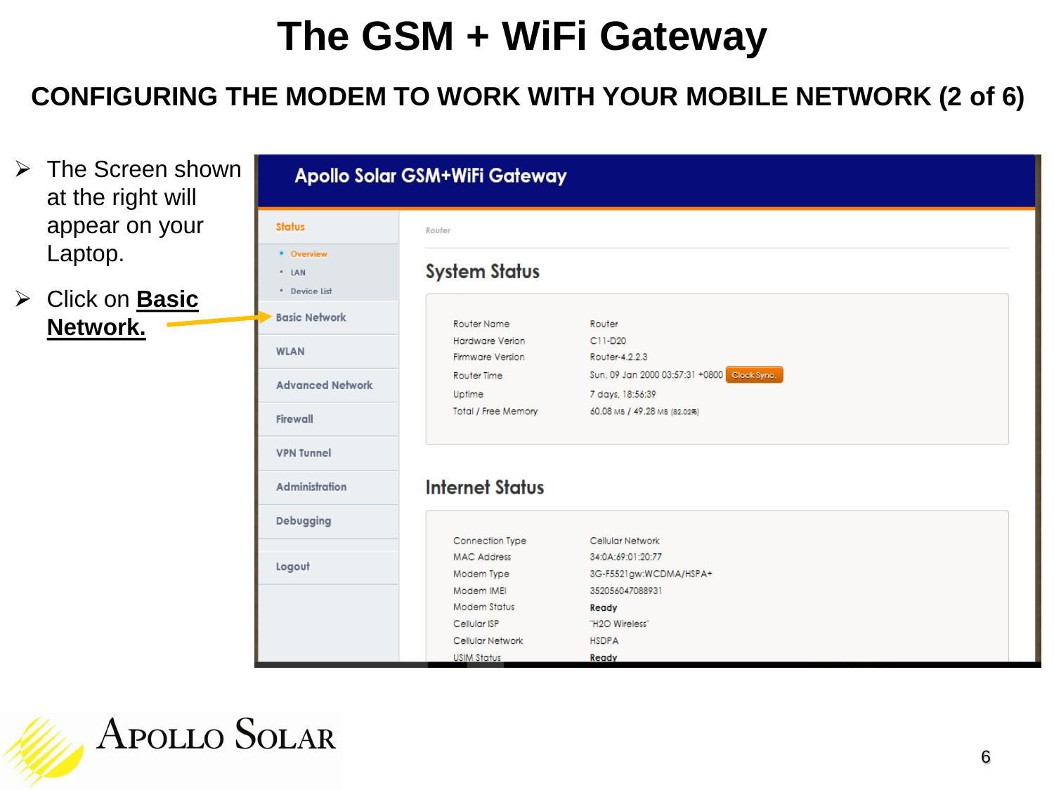#### **CONFIGURING THE MODEM TO WORK WITH YOUR MOBILE NETWORK (2 of 6)**

- $\triangleright$  The Screen shown at the right will appear on your Laptop.
- Click on **Basic Network.**

| <b>Status</b>           | Router                 |                                             |
|-------------------------|------------------------|---------------------------------------------|
| * Overview              |                        |                                             |
| * LAN                   | <b>System Status</b>   |                                             |
| * Device List           |                        |                                             |
| <b>Basic Network</b>    | Router Name            | Router                                      |
|                         | Hardware Verion        | C11-D20                                     |
| <b>WLAN</b>             | Firmware Version       | Router-4.2.2.3                              |
|                         | Router Time            | Sun, 09 Jan 2000 03:57:31 +0800 Cleck Sync. |
| <b>Advanced Network</b> | Uptime                 | 7 days, 18:56:39                            |
|                         | Total / Free Memory    | 60.08 мв / 49.28 мв (82.02%)                |
| Firewall                |                        |                                             |
| <b>VPN Tunnel</b>       |                        |                                             |
| <b>Administration</b>   | <b>Internet Status</b> |                                             |
| Debugging               |                        |                                             |
|                         | Connection Type        | Cellular Network                            |
|                         | <b>MAC Address</b>     | 34:0A:69:01:20:77                           |
| Logout                  | Modem Type             | 3G-F5521gw:WCDMA/HSPA+                      |
|                         | Modem IMEI             | 352056047088931                             |
|                         | Modem Status           | Ready                                       |
|                         | Cellular ISP           | "H2O Wireless"                              |
|                         | Cellular Network       | <b>HSDPA</b>                                |
|                         | <b>USIM Status</b>     | Ready                                       |

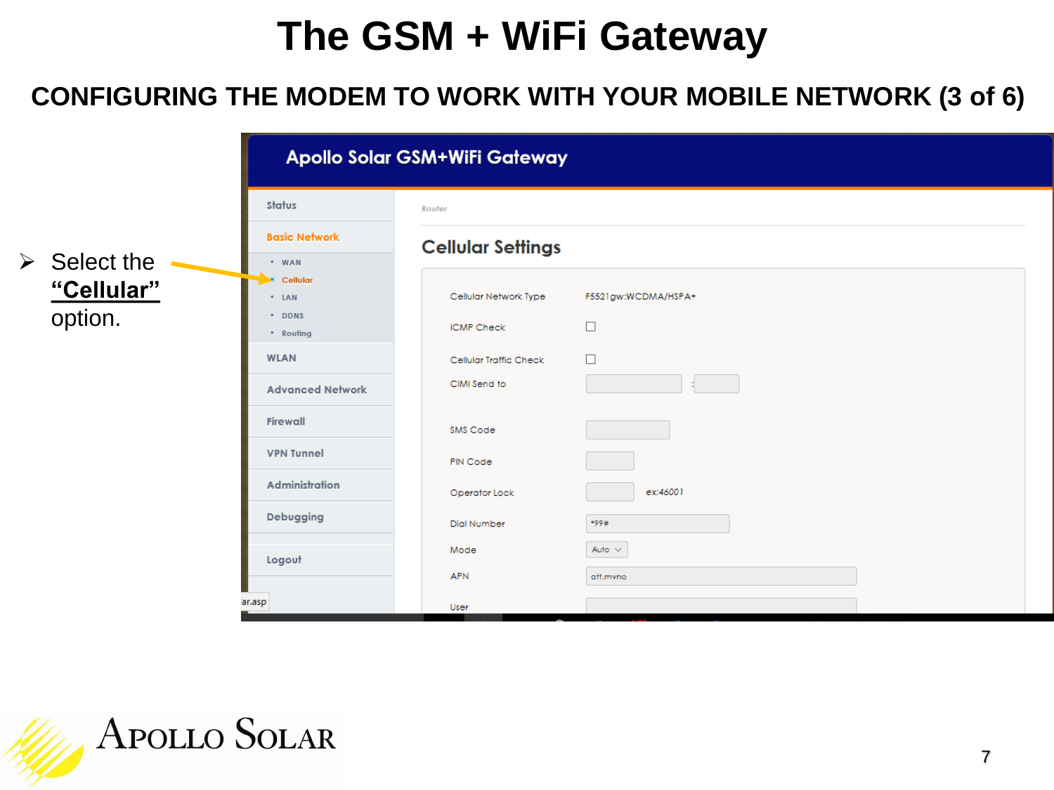#### **CONFIGURING THE MODEM TO WORK WITH YOUR MOBILE NETWORK (3 of 6)**

|                                                      | Apollo Solar GSM+WiFi Gateway                                                               |                                                                                      |                                   |  |  |  |
|------------------------------------------------------|---------------------------------------------------------------------------------------------|--------------------------------------------------------------------------------------|-----------------------------------|--|--|--|
|                                                      | Status                                                                                      | Router                                                                               |                                   |  |  |  |
|                                                      | <b>Basic Network</b>                                                                        | <b>Cellular Settings</b>                                                             |                                   |  |  |  |
| $\triangleright$ Select the<br>"Cellular"<br>option. | · WAN<br>Cellular<br>* LAN<br>* DDNS<br>* Routing<br><b>WLAN</b><br><b>Advanced Network</b> | Cellular Network Type<br><b>ICMP Check</b><br>Cellular Traffic Check<br>CIMI Send to | F5521gw:WCDMA/HSPA+<br>□<br>□     |  |  |  |
|                                                      | Firewall<br><b>VPN Tunnel</b>                                                               | SMS Code<br>PIN Code                                                                 |                                   |  |  |  |
|                                                      | Administration<br>Debugging                                                                 | Operator Lock<br>Dial Number<br>Mode                                                 | ex:46001<br>$*99#$<br>Auto $\sim$ |  |  |  |
|                                                      | Logout<br>ar.asp                                                                            | <b>APN</b><br>User                                                                   | att.mvno                          |  |  |  |

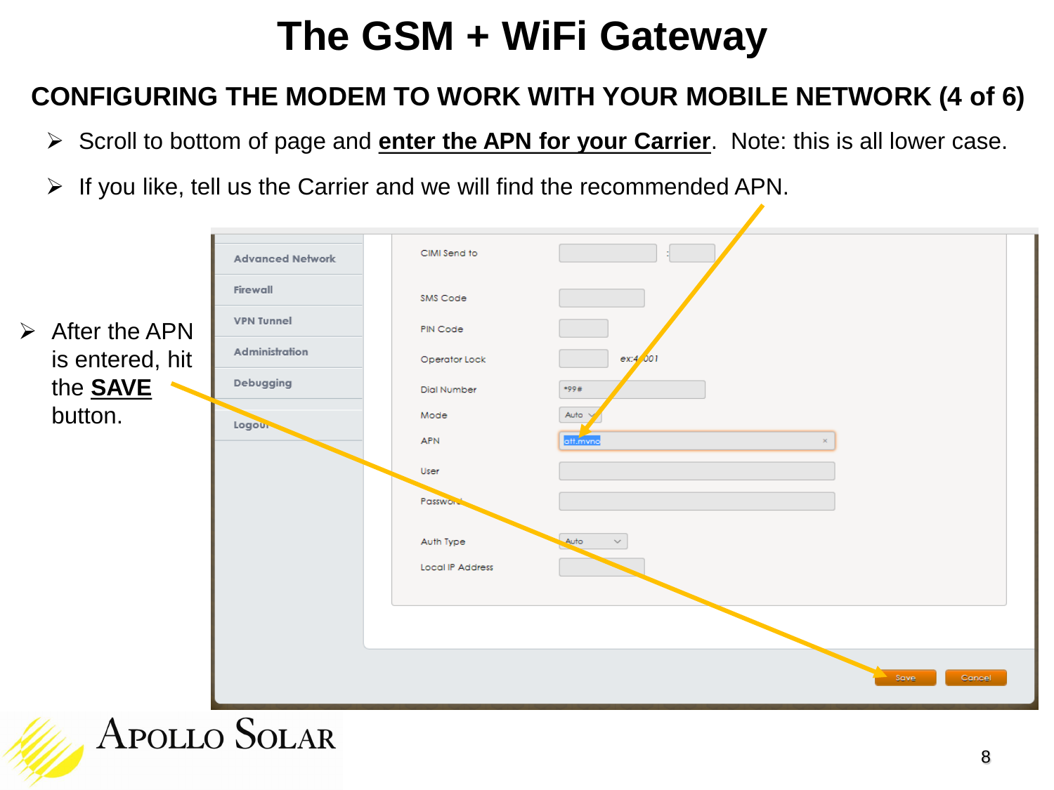#### **CONFIGURING THE MODEM TO WORK WITH YOUR MOBILE NETWORK (4 of 6)**

- Scroll to bottom of page and **enter the APN for your Carrier**. Note: this is all lower case.
- $\triangleright$  If you like, tell us the Carrier and we will find the recommended APN.

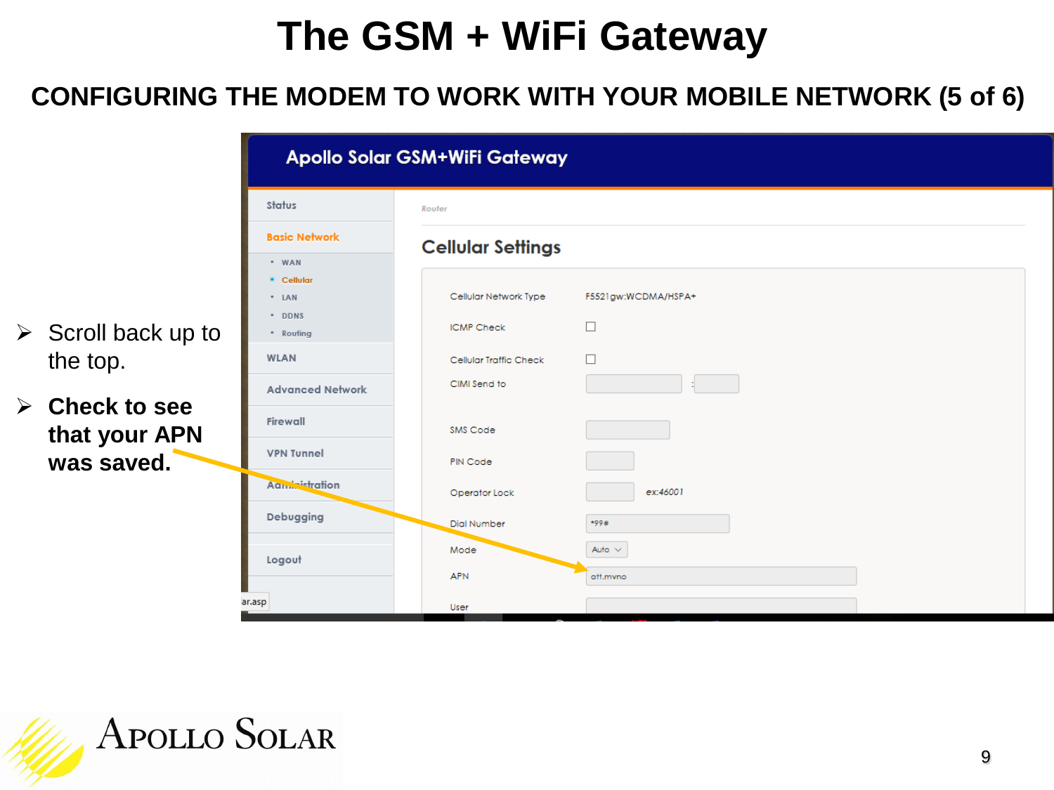#### **CONFIGURING THE MODEM TO WORK WITH YOUR MOBILE NETWORK (5 of 6)**

|                                                | Apollo Solar GSM+WiFi Gateway |                          |                     |  |  |  |
|------------------------------------------------|-------------------------------|--------------------------|---------------------|--|--|--|
|                                                | Status                        | Router                   |                     |  |  |  |
|                                                | <b>Basic Network</b>          | <b>Cellular Settings</b> |                     |  |  |  |
|                                                | * WAN<br>* Cellular           |                          |                     |  |  |  |
|                                                | * LAN                         | Cellular Network Type    | F5521gw:WCDMA/HSPA+ |  |  |  |
| $\triangleright$ Scroll back up to             | * DDNS<br>* Routing           | <b>ICMP Check</b>        | □                   |  |  |  |
| the top.                                       | <b>WLAN</b>                   | Cellular Traffic Check   | □                   |  |  |  |
|                                                | <b>Advanced Network</b>       | CIMI Send to             |                     |  |  |  |
| $\triangleright$ Check to see<br>that your APN | Firewall                      | SMS Code                 |                     |  |  |  |
| was saved.                                     | <b>VPN Tunnel</b>             | PIN Code                 |                     |  |  |  |
|                                                | Aandristration                | Operator Lock            | ex:46001            |  |  |  |
|                                                | Debugging                     | Dial Number              | *99#                |  |  |  |
|                                                | Logout                        | Mode                     | Auto $\sim$         |  |  |  |
|                                                |                               | <b>APN</b>               | att.mvno            |  |  |  |
|                                                | ar.asp                        | User                     |                     |  |  |  |

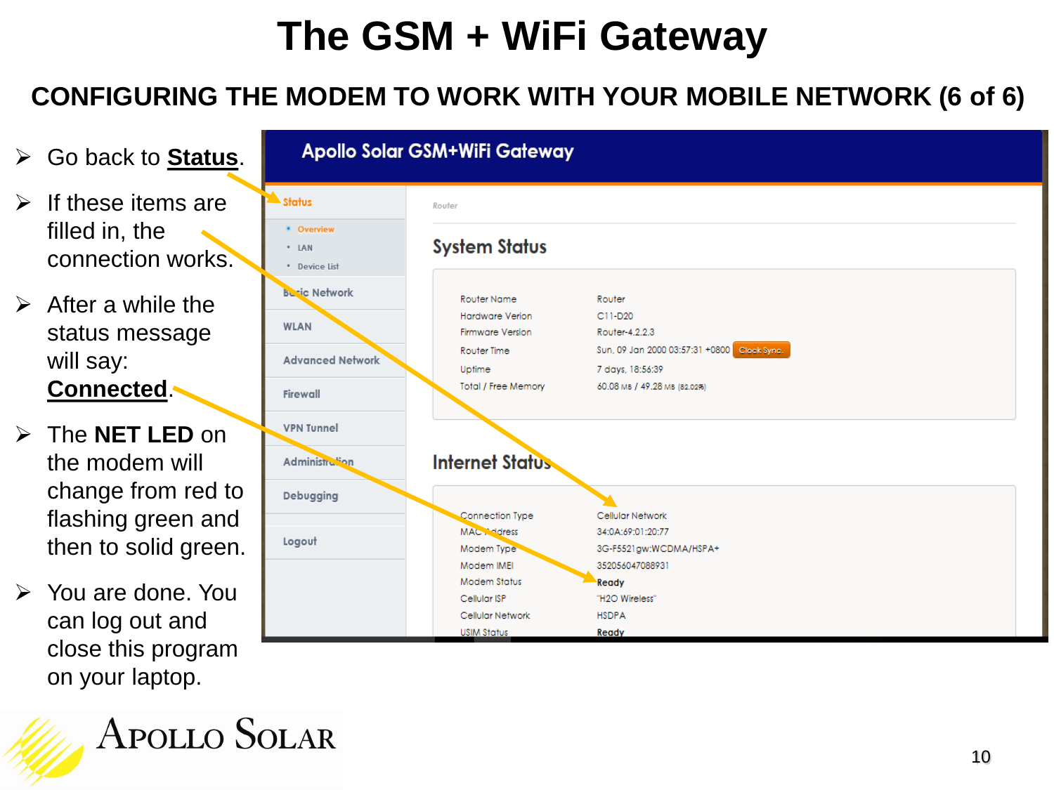#### **CONFIGURING THE MODEM TO WORK WITH YOUR MOBILE NETWORK (6 of 6)**

| $\triangleright$ Go back to Status.                                                    |                                                                            | Apollo Solar GSM+WiFi Gateway                                                                                    |                                                                                                                                          |  |
|----------------------------------------------------------------------------------------|----------------------------------------------------------------------------|------------------------------------------------------------------------------------------------------------------|------------------------------------------------------------------------------------------------------------------------------------------|--|
| $\triangleright$ If these items are<br>filled in, the<br>connection works.             | Status<br>* Overview<br>* LAN<br>* Device List                             | Router<br><b>System Status</b>                                                                                   |                                                                                                                                          |  |
| $\triangleright$ After a while the<br>status message<br>will say:<br><b>Connected.</b> | <b>Busic Network</b><br><b>WLAN</b><br><b>Advanced Network</b><br>Firewall | Router Name<br><b>Hardware Verion</b><br><b>Firmware Version</b><br>Router Time<br>Uptime<br>Total / Free Memory | Router<br>$C11-D20$<br>Router-4.2.2.3<br>Sun, 09 Jan 2000 03:57:31 +0800 Clock Sync.<br>7 days, 18:56:39<br>60.08 мв / 49.28 мв (82.02%) |  |
| $\triangleright$ The <b>NET LED</b> on<br>the modem will                               | <b>VPN Tunnel</b><br>Administration                                        | <b>Internet Status</b>                                                                                           |                                                                                                                                          |  |
| change from red to<br>flashing green and<br>then to solid green.                       | Debugging<br>Logout                                                        | Connection Type<br>MAC Address<br>Modem Type                                                                     | Cellular Network<br>34:0A:69:01:20:77<br>3G-F5521gw:WCDMA/HSPA+                                                                          |  |
| $\triangleright$ You are done. You<br>can log out and<br>close this program            |                                                                            | Modem IMEI<br><b>Modem Status</b><br>Cellular ISP<br>Cellular Network<br><b>USIM Status</b>                      | 352056047088931<br>Ready<br>"H2O Wireless"<br><b>HSDPA</b><br>Ready                                                                      |  |

**APOLLO SOLAR** 

on your laptop.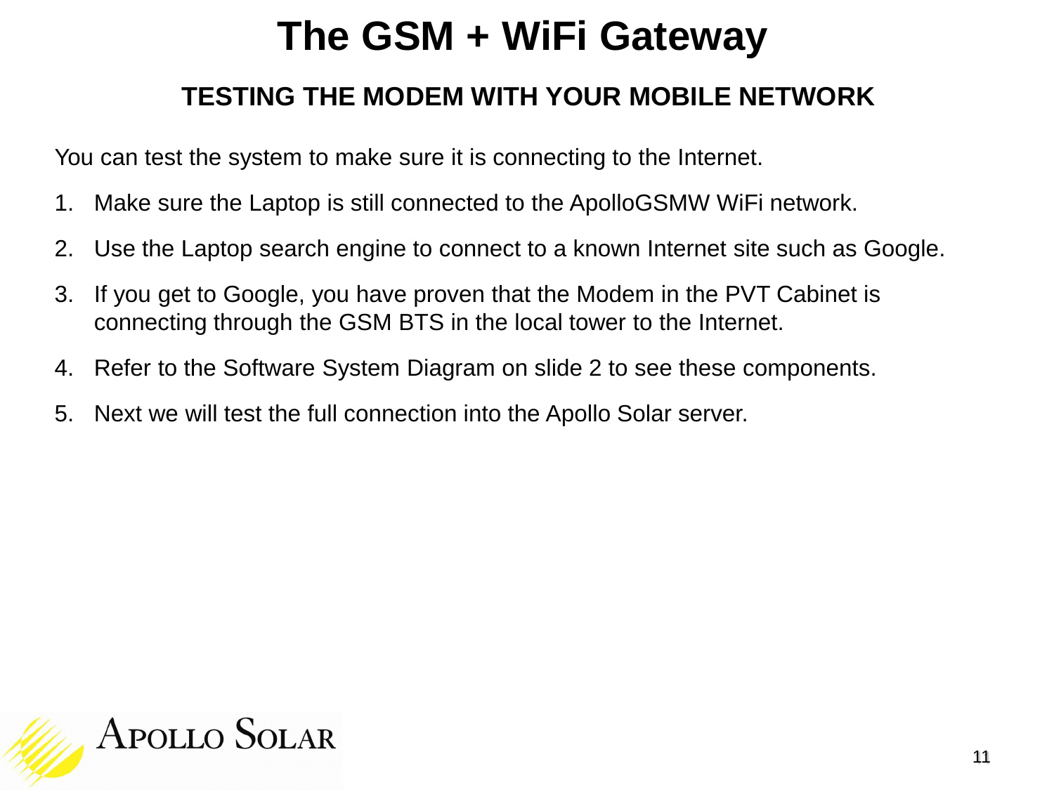#### **TESTING THE MODEM WITH YOUR MOBILE NETWORK**

You can test the system to make sure it is connecting to the Internet.

- 1. Make sure the Laptop is still connected to the ApolloGSMW WiFi network.
- 2. Use the Laptop search engine to connect to a known Internet site such as Google.
- 3. If you get to Google, you have proven that the Modem in the PVT Cabinet is connecting through the GSM BTS in the local tower to the Internet.
- 4. Refer to the Software System Diagram on slide 2 to see these components.
- 5. Next we will test the full connection into the Apollo Solar server.